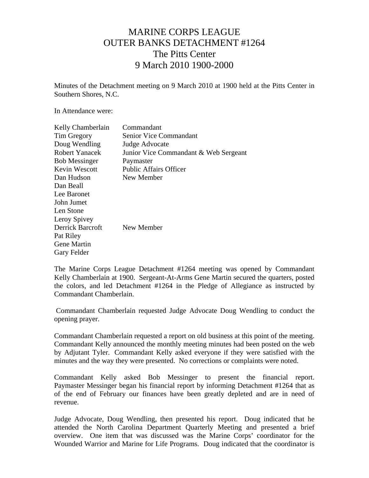## MARINE CORPS LEAGUE OUTER BANKS DETACHMENT #1264 The Pitts Center 9 March 2010 1900-2000

Minutes of the Detachment meeting on 9 March 2010 at 1900 held at the Pitts Center in Southern Shores, N.C.

In Attendance were:

| Kelly Chamberlain    | Commandant                            |
|----------------------|---------------------------------------|
| Tim Gregory          | Senior Vice Commandant                |
| Doug Wendling        | Judge Advocate                        |
| Robert Yanacek       | Junior Vice Commandant & Web Sergeant |
| <b>Bob Messinger</b> | Paymaster                             |
| <b>Kevin Wescott</b> | <b>Public Affairs Officer</b>         |
| Dan Hudson           | New Member                            |
| Dan Beall            |                                       |
| Lee Baronet          |                                       |
| John Jumet           |                                       |
| Len Stone            |                                       |
| Leroy Spivey         |                                       |
| Derrick Barcroft     | New Member                            |
| Pat Riley            |                                       |
| <b>Gene Martin</b>   |                                       |
| Gary Felder          |                                       |
|                      |                                       |

The Marine Corps League Detachment #1264 meeting was opened by Commandant Kelly Chamberlain at 1900. Sergeant-At-Arms Gene Martin secured the quarters, posted the colors, and led Detachment #1264 in the Pledge of Allegiance as instructed by Commandant Chamberlain.

 Commandant Chamberlain requested Judge Advocate Doug Wendling to conduct the opening prayer.

Commandant Chamberlain requested a report on old business at this point of the meeting. Commandant Kelly announced the monthly meeting minutes had been posted on the web by Adjutant Tyler. Commandant Kelly asked everyone if they were satisfied with the minutes and the way they were presented. No corrections or complaints were noted.

Commandant Kelly asked Bob Messinger to present the financial report. Paymaster Messinger began his financial report by informing Detachment #1264 that as of the end of February our finances have been greatly depleted and are in need of revenue.

Judge Advocate, Doug Wendling, then presented his report. Doug indicated that he attended the North Carolina Department Quarterly Meeting and presented a brief overview. One item that was discussed was the Marine Corps' coordinator for the Wounded Warrior and Marine for Life Programs. Doug indicated that the coordinator is